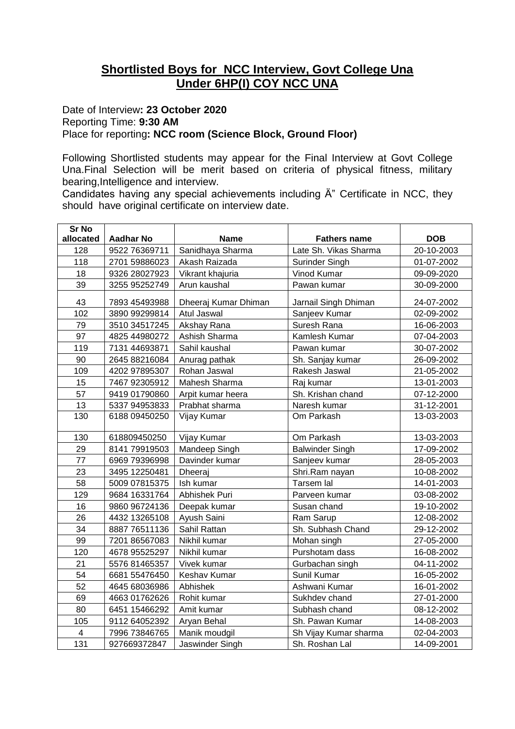## **Shortlisted Boys for NCC Interview, Govt College Una Under 6HP(I) COY NCC UNA**

## Date of Interview**: 23 October 2020** Reporting Time: **9:30 AM** Place for reporting**: NCC room (Science Block, Ground Floor)**

Following Shortlisted students may appear for the Final Interview at Govt College Una.Final Selection will be merit based on criteria of physical fitness, military bearing,Intelligence and interview.

Candidates having any special achievements including Ä" Certificate in NCC, they should have original certificate on interview date.

| <b>Sr No</b>   |                  |                      |                        |            |
|----------------|------------------|----------------------|------------------------|------------|
| allocated      | <b>Aadhar No</b> | <b>Name</b>          | <b>Fathers name</b>    | <b>DOB</b> |
| 128            | 9522 76369711    | Sanidhaya Sharma     | Late Sh. Vikas Sharma  | 20-10-2003 |
| 118            | 2701 59886023    | Akash Raizada        | Surinder Singh         | 01-07-2002 |
| 18             | 9326 28027923    | Vikrant khajuria     | Vinod Kumar            | 09-09-2020 |
| 39             | 3255 95252749    | Arun kaushal         | Pawan kumar            | 30-09-2000 |
| 43             | 7893 45493988    | Dheeraj Kumar Dhiman | Jarnail Singh Dhiman   | 24-07-2002 |
| 102            | 3890 99299814    | Atul Jaswal          | Sanjeev Kumar          | 02-09-2002 |
| 79             | 3510 34517245    | Akshay Rana          | Suresh Rana            | 16-06-2003 |
| 97             | 4825 44980272    | Ashish Sharma        | Kamlesh Kumar          | 07-04-2003 |
| 119            | 7131 44693871    | Sahil kaushal        | Pawan kumar            | 30-07-2002 |
| 90             | 2645 88216084    | Anurag pathak        | Sh. Sanjay kumar       | 26-09-2002 |
| 109            | 4202 97895307    | Rohan Jaswal         | Rakesh Jaswal          | 21-05-2002 |
| 15             | 7467 92305912    | Mahesh Sharma        | Raj kumar              | 13-01-2003 |
| 57             | 9419 01790860    | Arpit kumar heera    | Sh. Krishan chand      | 07-12-2000 |
| 13             | 5337 94953833    | Prabhat sharma       | Naresh kumar           | 31-12-2001 |
| 130            | 6188 09450250    | Vijay Kumar          | Om Parkash             | 13-03-2003 |
| 130            | 618809450250     | Vijay Kumar          | Om Parkash             | 13-03-2003 |
| 29             | 8141 79919503    | Mandeep Singh        | <b>Balwinder Singh</b> | 17-09-2002 |
| 77             | 6969 79396998    | Davinder kumar       | Sanjeev kumar          | 28-05-2003 |
| 23             | 3495 12250481    | Dheeraj              | Shri.Ram nayan         | 10-08-2002 |
| 58             | 5009 07815375    | Ish kumar            | Tarsem lal             | 14-01-2003 |
| 129            | 9684 16331764    | Abhishek Puri        | Parveen kumar          | 03-08-2002 |
| 16             | 9860 96724136    | Deepak kumar         | Susan chand            | 19-10-2002 |
| 26             | 4432 13265108    | Ayush Saini          | Ram Sarup              | 12-08-2002 |
| 34             | 8887 76511136    | Sahil Rattan         | Sh. Subhash Chand      | 29-12-2002 |
| 99             | 7201 86567083    | Nikhil kumar         | Mohan singh            | 27-05-2000 |
| 120            | 4678 95525297    | Nikhil kumar         | Purshotam dass         | 16-08-2002 |
| 21             | 5576 81465357    | Vivek kumar          | Gurbachan singh        | 04-11-2002 |
| 54             | 6681 55476450    | Keshav Kumar         | Sunil Kumar            | 16-05-2002 |
| 52             | 4645 68036986    | Abhishek             | Ashwani Kumar          | 16-01-2002 |
| 69             | 4663 01762626    | Rohit kumar          | Sukhdev chand          | 27-01-2000 |
| 80             | 6451 15466292    | Amit kumar           | Subhash chand          | 08-12-2002 |
| 105            | 9112 64052392    | Aryan Behal          | Sh. Pawan Kumar        | 14-08-2003 |
| $\overline{4}$ | 7996 73846765    | Manik moudgil        | Sh Vijay Kumar sharma  | 02-04-2003 |
| 131            | 927669372847     | Jaswinder Singh      | Sh. Roshan Lal         | 14-09-2001 |